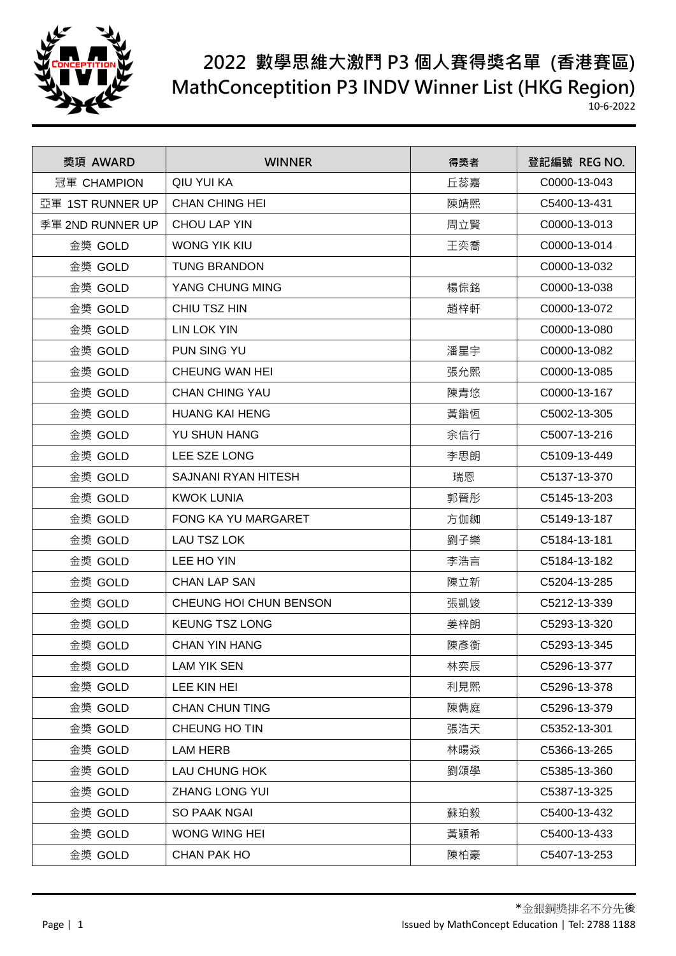

| 獎項 AWARD         | <b>WINNER</b>              | 得獎者 | 登記編號 REG NO. |
|------------------|----------------------------|-----|--------------|
| 冠軍 CHAMPION      | <b>QIU YUI KA</b>          | 丘蕊嘉 | C0000-13-043 |
| 亞軍 1ST RUNNER UP | <b>CHAN CHING HEI</b>      | 陳靖熙 | C5400-13-431 |
| 季軍 2ND RUNNER UP | <b>CHOU LAP YIN</b>        | 周立賢 | C0000-13-013 |
| 金獎 GOLD          | <b>WONG YIK KIU</b>        | 王奕喬 | C0000-13-014 |
| 金獎 GOLD          | <b>TUNG BRANDON</b>        |     | C0000-13-032 |
| 金獎 GOLD          | YANG CHUNG MING            | 楊倧銘 | C0000-13-038 |
| 金獎 GOLD          | CHIU TSZ HIN               | 趙梓軒 | C0000-13-072 |
| 金獎 GOLD          | <b>LIN LOK YIN</b>         |     | C0000-13-080 |
| 金獎 GOLD          | PUN SING YU                | 潘星宇 | C0000-13-082 |
| 金獎 GOLD          | CHEUNG WAN HEI             | 張允熙 | C0000-13-085 |
| 金獎 GOLD          | <b>CHAN CHING YAU</b>      | 陳青悠 | C0000-13-167 |
| 金獎 GOLD          | <b>HUANG KAI HENG</b>      | 黃鍇恆 | C5002-13-305 |
| 金獎 GOLD          | YU SHUN HANG               | 余信行 | C5007-13-216 |
| 金獎 GOLD          | LEE SZE LONG               | 李思朗 | C5109-13-449 |
| 金獎 GOLD          | <b>SAJNANI RYAN HITESH</b> | 瑞恩  | C5137-13-370 |
| 金獎 GOLD          | <b>KWOK LUNIA</b>          | 郭晉彤 | C5145-13-203 |
| 金獎 GOLD          | FONG KA YU MARGARET        | 方伽銣 | C5149-13-187 |
| 金獎 GOLD          | LAU TSZ LOK                | 劉子樂 | C5184-13-181 |
| 金獎 GOLD          | LEE HO YIN                 | 李浩言 | C5184-13-182 |
| 金獎 GOLD          | <b>CHAN LAP SAN</b>        | 陳立新 | C5204-13-285 |
| 金獎 GOLD          | CHEUNG HOI CHUN BENSON     | 張凱竣 | C5212-13-339 |
| 金獎 GOLD          | <b>KEUNG TSZ LONG</b>      | 姜梓朗 | C5293-13-320 |
| 金獎 GOLD          | <b>CHAN YIN HANG</b>       | 陳彥衡 | C5293-13-345 |
| 金獎 GOLD          | <b>LAM YIK SEN</b>         | 林奕辰 | C5296-13-377 |
| 金獎 GOLD          | LEE KIN HEI                | 利見熙 | C5296-13-378 |
| 金獎 GOLD          | <b>CHAN CHUN TING</b>      | 陳儁庭 | C5296-13-379 |
| 金獎 GOLD          | CHEUNG HO TIN              | 張浩天 | C5352-13-301 |
| 金獎 GOLD          | LAM HERB                   | 林暘焱 | C5366-13-265 |
| 金獎 GOLD          | LAU CHUNG HOK              | 劉頌學 | C5385-13-360 |
| 金獎 GOLD          | <b>ZHANG LONG YUI</b>      |     | C5387-13-325 |
| 金獎 GOLD          | <b>SO PAAK NGAI</b>        | 蘇珀毅 | C5400-13-432 |
| 金獎 GOLD          | WONG WING HEI              | 黃穎希 | C5400-13-433 |
| 金獎 GOLD          | CHAN PAK HO                | 陳柏豪 | C5407-13-253 |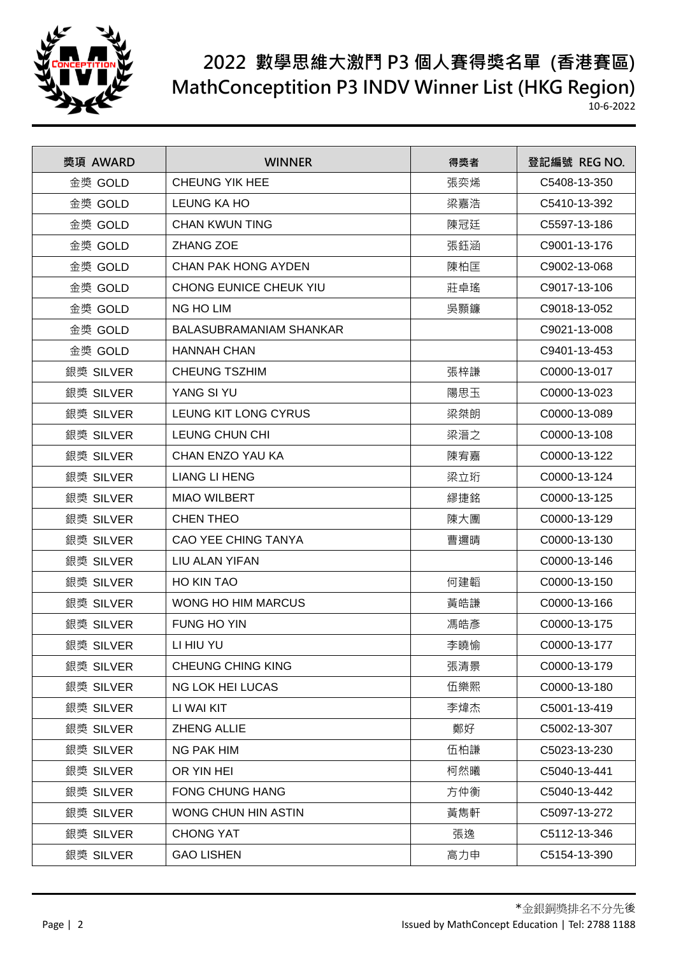

| 獎項 AWARD  | <b>WINNER</b>                  | 得獎者 | 登記編號 REG NO. |
|-----------|--------------------------------|-----|--------------|
| 金獎 GOLD   | <b>CHEUNG YIK HEE</b>          | 張奕烯 | C5408-13-350 |
| 金獎 GOLD   | <b>LEUNG KA HO</b>             | 梁嘉浩 | C5410-13-392 |
| 金獎 GOLD   | <b>CHAN KWUN TING</b>          | 陳冠廷 | C5597-13-186 |
| 金獎 GOLD   | <b>ZHANG ZOE</b>               | 張鈺涵 | C9001-13-176 |
| 金獎 GOLD   | <b>CHAN PAK HONG AYDEN</b>     | 陳柏匡 | C9002-13-068 |
| 金獎 GOLD   | CHONG EUNICE CHEUK YIU         | 莊卓瑤 | C9017-13-106 |
| 金獎 GOLD   | NG HO LIM                      | 吳顥鐮 | C9018-13-052 |
| 金獎 GOLD   | <b>BALASUBRAMANIAM SHANKAR</b> |     | C9021-13-008 |
| 金獎 GOLD   | <b>HANNAH CHAN</b>             |     | C9401-13-453 |
| 銀獎 SILVER | <b>CHEUNG TSZHIM</b>           | 張梓謙 | C0000-13-017 |
| 銀獎 SILVER | YANG SI YU                     | 陽思玉 | C0000-13-023 |
| 銀獎 SILVER | LEUNG KIT LONG CYRUS           | 梁桀朗 | C0000-13-089 |
| 銀獎 SILVER | LEUNG CHUN CHI                 | 梁溍之 | C0000-13-108 |
| 銀獎 SILVER | CHAN ENZO YAU KA               | 陳宥嘉 | C0000-13-122 |
| 銀獎 SILVER | <b>LIANG LI HENG</b>           | 梁立珩 | C0000-13-124 |
| 銀獎 SILVER | <b>MIAO WILBERT</b>            | 繆捷銘 | C0000-13-125 |
| 銀獎 SILVER | <b>CHEN THEO</b>               | 陳大團 | C0000-13-129 |
| 銀獎 SILVER | CAO YEE CHING TANYA            | 曹邇晴 | C0000-13-130 |
| 銀獎 SILVER | LIU ALAN YIFAN                 |     | C0000-13-146 |
| 銀獎 SILVER | HO KIN TAO                     | 何建韜 | C0000-13-150 |
| 銀獎 SILVER | <b>WONG HO HIM MARCUS</b>      | 黃皓謙 | C0000-13-166 |
| 銀獎 SILVER | <b>FUNG HO YIN</b>             | 馮皓彥 | C0000-13-175 |
| 銀獎 SILVER | LI HIU YU                      | 李曉愉 | C0000-13-177 |
| 銀獎 SILVER | CHEUNG CHING KING              | 張清景 | C0000-13-179 |
| 銀獎 SILVER | NG LOK HEI LUCAS               | 伍樂熙 | C0000-13-180 |
| 銀獎 SILVER | LI WAI KIT                     | 李煒杰 | C5001-13-419 |
| 銀獎 SILVER | <b>ZHENG ALLIE</b>             | 鄭好  | C5002-13-307 |
| 銀獎 SILVER | NG PAK HIM                     | 伍柏謙 | C5023-13-230 |
| 銀獎 SILVER | OR YIN HEI                     | 柯然曦 | C5040-13-441 |
| 銀獎 SILVER | <b>FONG CHUNG HANG</b>         | 方仲衡 | C5040-13-442 |
| 銀獎 SILVER | WONG CHUN HIN ASTIN            | 黃雋軒 | C5097-13-272 |
| 銀獎 SILVER | <b>CHONG YAT</b>               | 張逸  | C5112-13-346 |
| 銀獎 SILVER | <b>GAO LISHEN</b>              | 高力申 | C5154-13-390 |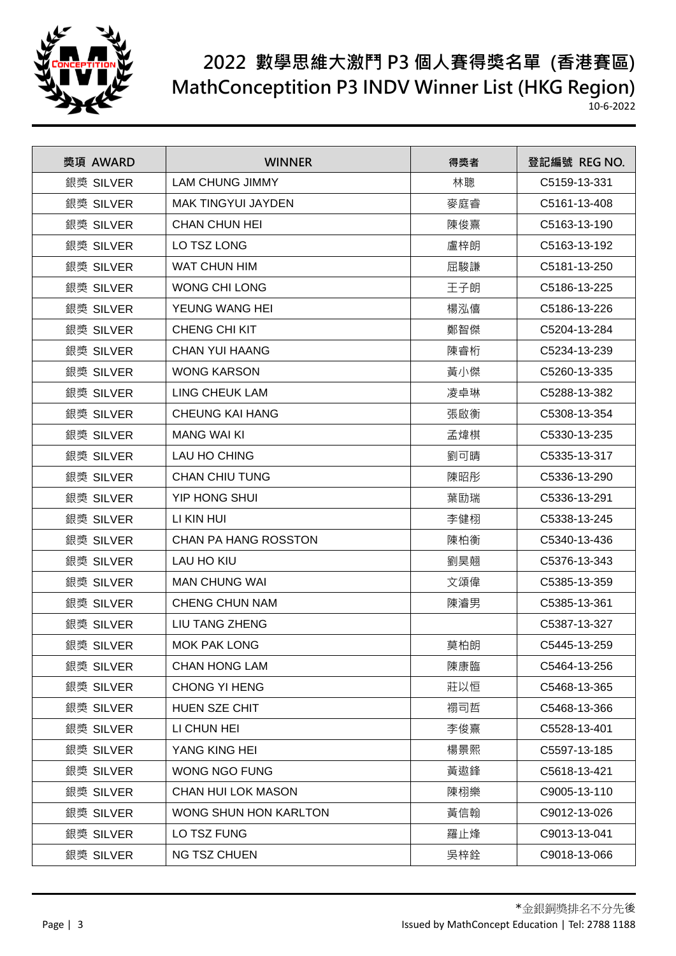

| 獎項 AWARD  | <b>WINNER</b>               | 得獎者 | 登記編號 REG NO. |
|-----------|-----------------------------|-----|--------------|
| 銀獎 SILVER | <b>LAM CHUNG JIMMY</b>      | 林聰  | C5159-13-331 |
| 銀獎 SILVER | MAK TINGYUI JAYDEN          | 麥庭睿 | C5161-13-408 |
| 銀獎 SILVER | <b>CHAN CHUN HEI</b>        | 陳俊熹 | C5163-13-190 |
| 銀獎 SILVER | LO TSZ LONG                 | 盧梓朗 | C5163-13-192 |
| 銀獎 SILVER | <b>WAT CHUN HIM</b>         | 屈駿謙 | C5181-13-250 |
| 銀獎 SILVER | <b>WONG CHI LONG</b>        | 王子朗 | C5186-13-225 |
| 銀獎 SILVER | YEUNG WANG HEI              | 楊泓僖 | C5186-13-226 |
| 銀獎 SILVER | CHENG CHI KIT               | 鄭智傑 | C5204-13-284 |
| 銀獎 SILVER | CHAN YUI HAANG              | 陳睿桁 | C5234-13-239 |
| 銀獎 SILVER | <b>WONG KARSON</b>          | 黃小傑 | C5260-13-335 |
| 銀獎 SILVER | LING CHEUK LAM              | 凌卓琳 | C5288-13-382 |
| 銀獎 SILVER | <b>CHEUNG KAI HANG</b>      | 張啟衡 | C5308-13-354 |
| 銀獎 SILVER | <b>MANG WAI KI</b>          | 孟煒棋 | C5330-13-235 |
| 銀獎 SILVER | LAU HO CHING                | 劉可晴 | C5335-13-317 |
| 銀獎 SILVER | <b>CHAN CHIU TUNG</b>       | 陳昭彤 | C5336-13-290 |
| 銀獎 SILVER | YIP HONG SHUI               | 葉劻瑞 | C5336-13-291 |
| 銀獎 SILVER | LI KIN HUI                  | 李健栩 | C5338-13-245 |
| 銀獎 SILVER | <b>CHAN PA HANG ROSSTON</b> | 陳柏衡 | C5340-13-436 |
| 銀獎 SILVER | LAU HO KIU                  | 劉昊翹 | C5376-13-343 |
| 銀獎 SILVER | <b>MAN CHUNG WAI</b>        | 文頌偉 | C5385-13-359 |
| 銀獎 SILVER | CHENG CHUN NAM              | 陳濬男 | C5385-13-361 |
| 銀獎 SILVER | LIU TANG ZHENG              |     | C5387-13-327 |
| 銀獎 SILVER | <b>MOK PAK LONG</b>         | 莫柏朗 | C5445-13-259 |
| 銀獎 SILVER | <b>CHAN HONG LAM</b>        | 陳康臨 | C5464-13-256 |
| 銀獎 SILVER | <b>CHONG YI HENG</b>        | 莊以恒 | C5468-13-365 |
| 銀獎 SILVER | HUEN SZE CHIT               | 禤司哲 | C5468-13-366 |
| 銀獎 SILVER | LI CHUN HEI                 | 李俊熹 | C5528-13-401 |
| 銀獎 SILVER | YANG KING HEI               | 楊景熙 | C5597-13-185 |
| 銀獎 SILVER | WONG NGO FUNG               | 黃遨鋒 | C5618-13-421 |
| 銀獎 SILVER | <b>CHAN HUI LOK MASON</b>   | 陳栩樂 | C9005-13-110 |
| 銀獎 SILVER | WONG SHUN HON KARLTON       | 黃信翰 | C9012-13-026 |
| 銀獎 SILVER | LO TSZ FUNG                 | 羅止烽 | C9013-13-041 |
| 銀獎 SILVER | <b>NG TSZ CHUEN</b>         | 吳梓銓 | C9018-13-066 |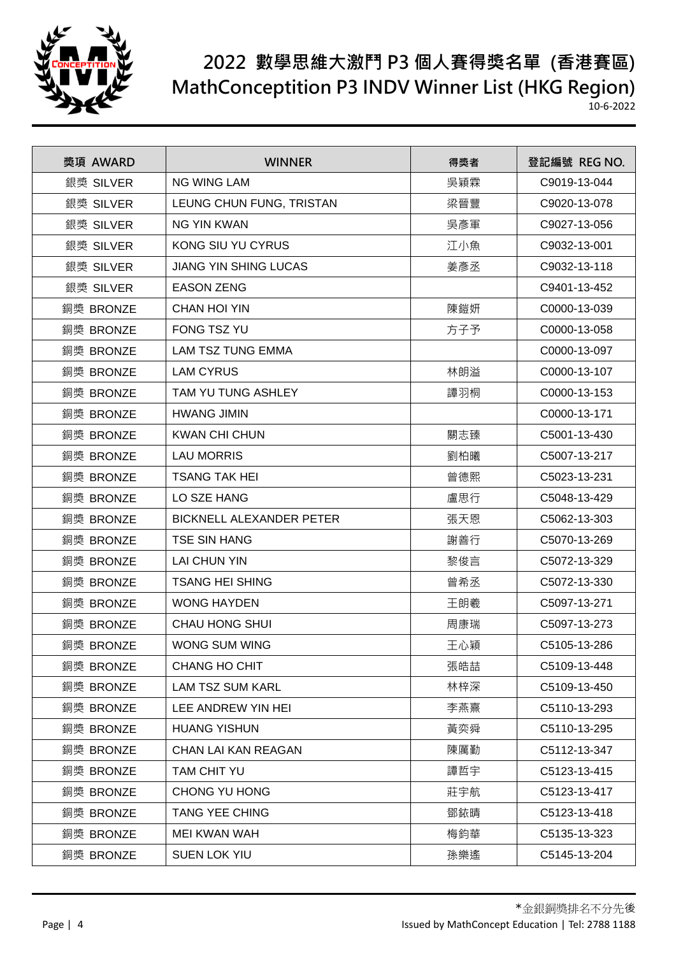

| 獎項 AWARD  | <b>WINNER</b>                   | 得獎者 | 登記編號 REG NO. |
|-----------|---------------------------------|-----|--------------|
| 銀獎 SILVER | <b>NG WING LAM</b>              | 吳穎霖 | C9019-13-044 |
| 銀獎 SILVER | LEUNG CHUN FUNG, TRISTAN        | 梁晉豐 | C9020-13-078 |
| 銀獎 SILVER | <b>NG YIN KWAN</b>              | 吳彥軍 | C9027-13-056 |
| 銀獎 SILVER | <b>KONG SIU YU CYRUS</b>        | 江小魚 | C9032-13-001 |
| 銀獎 SILVER | <b>JIANG YIN SHING LUCAS</b>    | 姜彥丞 | C9032-13-118 |
| 銀獎 SILVER | <b>EASON ZENG</b>               |     | C9401-13-452 |
| 銅獎 BRONZE | <b>CHAN HOI YIN</b>             | 陳鎧妍 | C0000-13-039 |
| 銅獎 BRONZE | FONG TSZ YU                     | 方子予 | C0000-13-058 |
| 銅獎 BRONZE | <b>LAM TSZ TUNG EMMA</b>        |     | C0000-13-097 |
| 銅獎 BRONZE | <b>LAM CYRUS</b>                | 林朗溢 | C0000-13-107 |
| 銅獎 BRONZE | TAM YU TUNG ASHLEY              | 譚羽桐 | C0000-13-153 |
| 銅獎 BRONZE | <b>HWANG JIMIN</b>              |     | C0000-13-171 |
| 銅獎 BRONZE | <b>KWAN CHI CHUN</b>            | 關志臻 | C5001-13-430 |
| 銅獎 BRONZE | <b>LAU MORRIS</b>               | 劉柏曦 | C5007-13-217 |
| 銅獎 BRONZE | <b>TSANG TAK HEI</b>            | 曾德熙 | C5023-13-231 |
| 銅獎 BRONZE | LO SZE HANG                     | 盧思行 | C5048-13-429 |
| 銅獎 BRONZE | <b>BICKNELL ALEXANDER PETER</b> | 張天恩 | C5062-13-303 |
| 銅獎 BRONZE | <b>TSE SIN HANG</b>             | 謝善行 | C5070-13-269 |
| 銅獎 BRONZE | <b>LAI CHUN YIN</b>             | 黎俊言 | C5072-13-329 |
| 銅獎 BRONZE | <b>TSANG HEI SHING</b>          | 曾希丞 | C5072-13-330 |
| 銅獎 BRONZE | <b>WONG HAYDEN</b>              | 王朗羲 | C5097-13-271 |
| 銅獎 BRONZE | <b>CHAU HONG SHUI</b>           | 周康瑞 | C5097-13-273 |
| 銅獎 BRONZE | <b>WONG SUM WING</b>            | 王心穎 | C5105-13-286 |
| 銅獎 BRONZE | <b>CHANG HO CHIT</b>            | 張皓喆 | C5109-13-448 |
| 銅獎 BRONZE | <b>LAM TSZ SUM KARL</b>         | 林梓深 | C5109-13-450 |
| 銅獎 BRONZE | LEE ANDREW YIN HEI              | 李燕熹 | C5110-13-293 |
| 銅獎 BRONZE | <b>HUANG YISHUN</b>             | 黃奕舜 | C5110-13-295 |
| 銅獎 BRONZE | CHAN LAI KAN REAGAN             | 陳厲勤 | C5112-13-347 |
| 銅獎 BRONZE | TAM CHIT YU                     | 譚哲宇 | C5123-13-415 |
| 銅獎 BRONZE | CHONG YU HONG                   | 莊宇航 | C5123-13-417 |
| 銅獎 BRONZE | TANG YEE CHING                  | 鄧銥晴 | C5123-13-418 |
| 銅獎 BRONZE | MEI KWAN WAH                    | 梅鈞華 | C5135-13-323 |
| 銅獎 BRONZE | SUEN LOK YIU                    | 孫樂遙 | C5145-13-204 |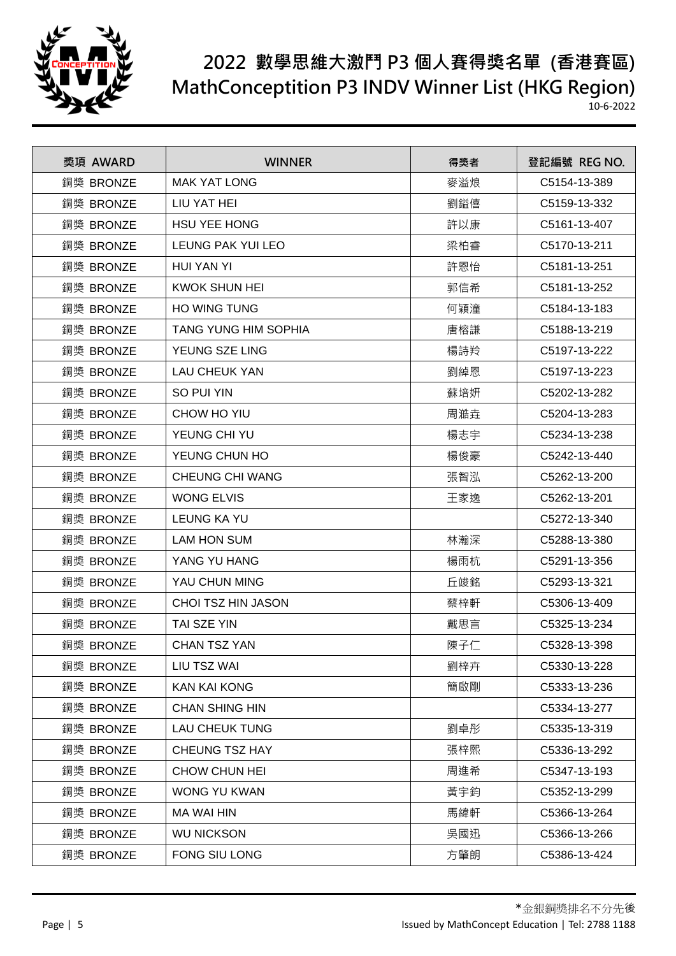

| 獎項 AWARD  | <b>WINNER</b>             | 得獎者 | 登記編號 REG NO. |
|-----------|---------------------------|-----|--------------|
| 銅獎 BRONZE | <b>MAK YAT LONG</b>       | 麥溢烺 | C5154-13-389 |
| 銅獎 BRONZE | LIU YAT HEI               | 劉鎰僖 | C5159-13-332 |
| 銅獎 BRONZE | <b>HSU YEE HONG</b>       | 許以康 | C5161-13-407 |
| 銅獎 BRONZE | LEUNG PAK YUI LEO         | 梁柏睿 | C5170-13-211 |
| 銅獎 BRONZE | <b>HUI YAN YI</b>         | 許恩怡 | C5181-13-251 |
| 銅獎 BRONZE | <b>KWOK SHUN HEI</b>      | 郭信希 | C5181-13-252 |
| 銅獎 BRONZE | <b>HO WING TUNG</b>       | 何穎潼 | C5184-13-183 |
| 銅獎 BRONZE | TANG YUNG HIM SOPHIA      | 唐榕謙 | C5188-13-219 |
| 銅獎 BRONZE | YEUNG SZE LING            | 楊詩羚 | C5197-13-222 |
| 銅獎 BRONZE | <b>LAU CHEUK YAN</b>      | 劉綽恩 | C5197-13-223 |
| 銅獎 BRONZE | SO PUI YIN                | 蘇培妍 | C5202-13-282 |
| 銅獎 BRONZE | CHOW HO YIU               | 周澔垚 | C5204-13-283 |
| 銅獎 BRONZE | YEUNG CHI YU              | 楊志宇 | C5234-13-238 |
| 銅獎 BRONZE | YEUNG CHUN HO             | 楊俊豪 | C5242-13-440 |
| 銅獎 BRONZE | <b>CHEUNG CHI WANG</b>    | 張智泓 | C5262-13-200 |
| 銅獎 BRONZE | <b>WONG ELVIS</b>         | 王家逸 | C5262-13-201 |
| 銅獎 BRONZE | <b>LEUNG KA YU</b>        |     | C5272-13-340 |
| 銅獎 BRONZE | <b>LAM HON SUM</b>        | 林瀚深 | C5288-13-380 |
| 銅獎 BRONZE | YANG YU HANG              | 楊雨杭 | C5291-13-356 |
| 銅獎 BRONZE | YAU CHUN MING             | 丘竣銘 | C5293-13-321 |
| 銅獎 BRONZE | <b>CHOI TSZ HIN JASON</b> | 蔡梓軒 | C5306-13-409 |
| 銅獎 BRONZE | TAI SZE YIN               | 戴思言 | C5325-13-234 |
| 銅獎 BRONZE | <b>CHAN TSZ YAN</b>       | 陳子仁 | C5328-13-398 |
| 銅獎 BRONZE | LIU TSZ WAI               | 劉梓卉 | C5330-13-228 |
| 銅獎 BRONZE | <b>KAN KAI KONG</b>       | 簡啟剛 | C5333-13-236 |
| 銅獎 BRONZE | <b>CHAN SHING HIN</b>     |     | C5334-13-277 |
| 銅獎 BRONZE | <b>LAU CHEUK TUNG</b>     | 劉卓彤 | C5335-13-319 |
| 銅獎 BRONZE | <b>CHEUNG TSZ HAY</b>     | 張梓熙 | C5336-13-292 |
| 銅獎 BRONZE | <b>CHOW CHUN HEI</b>      | 周進希 | C5347-13-193 |
| 銅獎 BRONZE | <b>WONG YU KWAN</b>       | 黃宇鈞 | C5352-13-299 |
| 銅獎 BRONZE | <b>MA WAI HIN</b>         | 馬緯軒 | C5366-13-264 |
| 銅獎 BRONZE | <b>WU NICKSON</b>         | 吳國迅 | C5366-13-266 |
| 銅獎 BRONZE | FONG SIU LONG             | 方肇朗 | C5386-13-424 |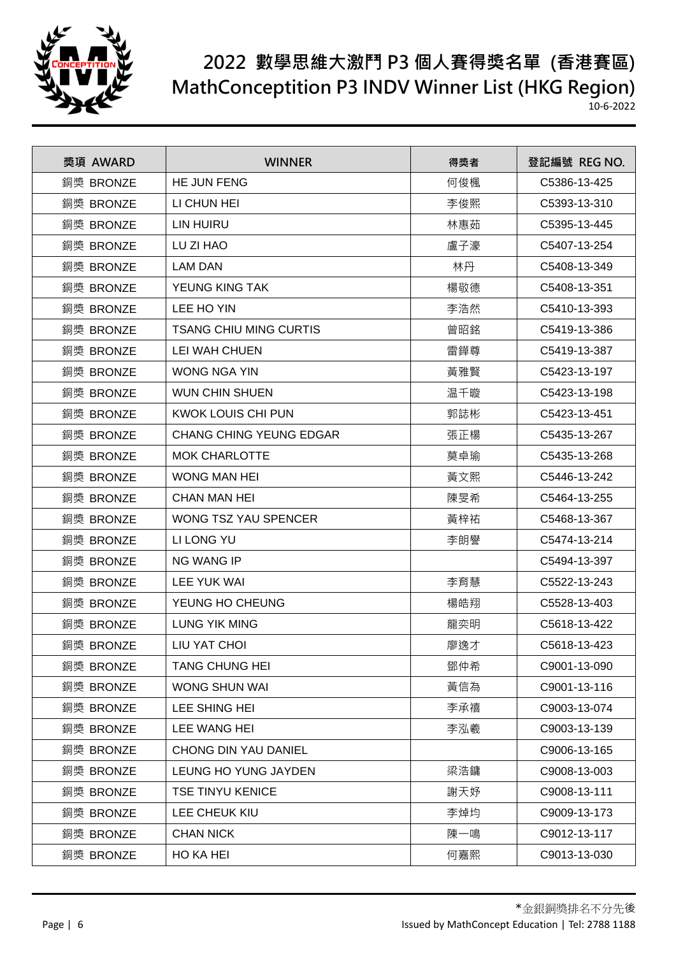

| 獎項 AWARD  | <b>WINNER</b>                 | 得獎者 | 登記編號 REG NO. |
|-----------|-------------------------------|-----|--------------|
| 銅獎 BRONZE | <b>HE JUN FENG</b>            | 何俊楓 | C5386-13-425 |
| 銅獎 BRONZE | LI CHUN HEI                   | 李俊熙 | C5393-13-310 |
| 銅獎 BRONZE | LIN HUIRU                     | 林惠茹 | C5395-13-445 |
| 銅獎 BRONZE | LU ZI HAO                     | 盧子濠 | C5407-13-254 |
| 銅獎 BRONZE | <b>LAM DAN</b>                | 林丹  | C5408-13-349 |
| 銅獎 BRONZE | YEUNG KING TAK                | 楊敬德 | C5408-13-351 |
| 銅獎 BRONZE | LEE HO YIN                    | 李浩然 | C5410-13-393 |
| 銅獎 BRONZE | <b>TSANG CHIU MING CURTIS</b> | 曾昭銘 | C5419-13-386 |
| 銅獎 BRONZE | <b>LEI WAH CHUEN</b>          | 雷鏵尊 | C5419-13-387 |
| 銅獎 BRONZE | <b>WONG NGA YIN</b>           | 黃雅賢 | C5423-13-197 |
| 銅獎 BRONZE | WUN CHIN SHUEN                | 温千暶 | C5423-13-198 |
| 銅獎 BRONZE | KWOK LOUIS CHI PUN            | 郭誌彬 | C5423-13-451 |
| 銅獎 BRONZE | CHANG CHING YEUNG EDGAR       | 張正楊 | C5435-13-267 |
| 銅獎 BRONZE | <b>MOK CHARLOTTE</b>          | 莫卓瑜 | C5435-13-268 |
| 銅獎 BRONZE | <b>WONG MAN HEI</b>           | 黃文熙 | C5446-13-242 |
| 銅獎 BRONZE | <b>CHAN MAN HEI</b>           | 陳旻希 | C5464-13-255 |
| 銅獎 BRONZE | WONG TSZ YAU SPENCER          | 黃梓祐 | C5468-13-367 |
| 銅獎 BRONZE | LI LONG YU                    | 李朗譽 | C5474-13-214 |
| 銅獎 BRONZE | <b>NG WANG IP</b>             |     | C5494-13-397 |
| 銅獎 BRONZE | <b>LEE YUK WAI</b>            | 李育慧 | C5522-13-243 |
| 銅獎 BRONZE | YEUNG HO CHEUNG               | 楊皓翔 | C5528-13-403 |
| 銅獎 BRONZE | LUNG YIK MING                 | 龍奕明 | C5618-13-422 |
| 銅獎 BRONZE | LIU YAT CHOI                  | 廖逸才 | C5618-13-423 |
| 銅獎 BRONZE | <b>TANG CHUNG HEI</b>         | 鄧仲希 | C9001-13-090 |
| 銅獎 BRONZE | WONG SHUN WAI                 | 黃信為 | C9001-13-116 |
| 銅獎 BRONZE | LEE SHING HEI                 | 李承禧 | C9003-13-074 |
| 銅獎 BRONZE | LEE WANG HEI                  | 李泓羲 | C9003-13-139 |
| 銅獎 BRONZE | CHONG DIN YAU DANIEL          |     | C9006-13-165 |
| 銅獎 BRONZE | LEUNG HO YUNG JAYDEN          | 梁浩鏞 | C9008-13-003 |
| 銅獎 BRONZE | <b>TSE TINYU KENICE</b>       | 謝天妤 | C9008-13-111 |
| 銅獎 BRONZE | LEE CHEUK KIU                 | 李焯均 | C9009-13-173 |
| 銅獎 BRONZE | <b>CHAN NICK</b>              | 陳一鳴 | C9012-13-117 |
| 銅獎 BRONZE | HO KA HEI                     | 何嘉熙 | C9013-13-030 |